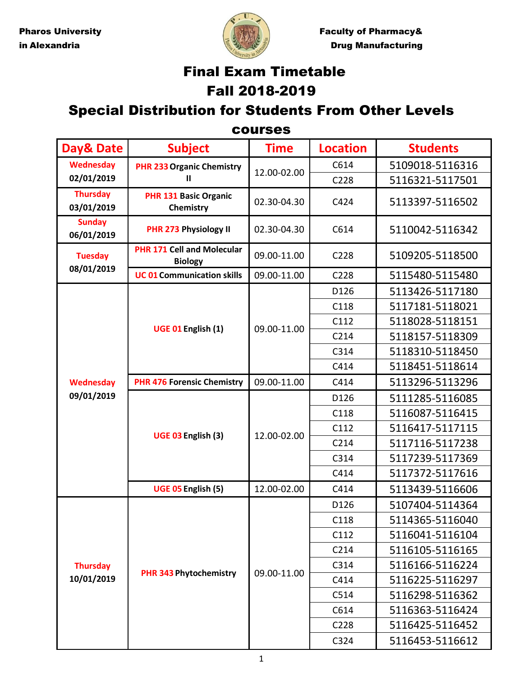

Pharos University **Faculty Faculty of Pharmacy&** in Alexandria **Drug Manufacturing** 

# Final Exam Timetable Fall 2018-2019

## Special Distribution for Students From Other Levels

| <b>courses</b>                                                                |                                                     |             |                 |                 |  |
|-------------------------------------------------------------------------------|-----------------------------------------------------|-------------|-----------------|-----------------|--|
| Day& Date                                                                     | <b>Subject</b>                                      | <b>Time</b> | <b>Location</b> | <b>Students</b> |  |
| <b>Wednesday</b>                                                              | <b>PHR 233 Organic Chemistry</b>                    | 12.00-02.00 | C614            | 5109018-5116316 |  |
| 02/01/2019                                                                    | $\mathbf{H}$                                        |             | C228            | 5116321-5117501 |  |
| <b>Thursday</b><br>03/01/2019                                                 | <b>PHR 131 Basic Organic</b><br>Chemistry           | 02.30-04.30 | C424            | 5113397-5116502 |  |
| <b>Sunday</b><br>06/01/2019                                                   | PHR 273 Physiology II                               | 02.30-04.30 | C614            | 5110042-5116342 |  |
| <b>Tuesday</b>                                                                | <b>PHR 171 Cell and Molecular</b><br><b>Biology</b> | 09.00-11.00 | C228            | 5109205-5118500 |  |
| 08/01/2019<br><b>Wednesday</b><br>09/01/2019<br><b>Thursday</b><br>10/01/2019 | <b>UC 01 Communication skills</b>                   | 09.00-11.00 | C228            | 5115480-5115480 |  |
|                                                                               |                                                     |             | D126            | 5113426-5117180 |  |
|                                                                               |                                                     | 09.00-11.00 | C118            | 5117181-5118021 |  |
|                                                                               | UGE 01 English (1)                                  |             | C112            | 5118028-5118151 |  |
|                                                                               |                                                     |             | C214            | 5118157-5118309 |  |
|                                                                               |                                                     |             | C314            | 5118310-5118450 |  |
|                                                                               |                                                     |             | C414            | 5118451-5118614 |  |
|                                                                               | <b>PHR 476 Forensic Chemistry</b>                   | 09.00-11.00 | C414            | 5113296-5113296 |  |
|                                                                               | UGE 03 English (3)                                  | 12.00-02.00 | D126            | 5111285-5116085 |  |
|                                                                               |                                                     |             | C118            | 5116087-5116415 |  |
|                                                                               |                                                     |             | C112            | 5116417-5117115 |  |
|                                                                               |                                                     |             | C214            | 5117116-5117238 |  |
|                                                                               |                                                     |             | C314            | 5117239-5117369 |  |
|                                                                               |                                                     |             | C414            | 5117372-5117616 |  |
|                                                                               | UGE 05 English (5)                                  | 12.00-02.00 | C414            | 5113439-5116606 |  |
|                                                                               |                                                     |             | D126            | 5107404-5114364 |  |
|                                                                               | <b>PHR 343 Phytochemistry</b>                       | 09.00-11.00 | C118            | 5114365-5116040 |  |
|                                                                               |                                                     |             | C112            | 5116041-5116104 |  |
|                                                                               |                                                     |             | C214            | 5116105-5116165 |  |
|                                                                               |                                                     |             | C314            | 5116166-5116224 |  |
|                                                                               |                                                     |             | C414            | 5116225-5116297 |  |
|                                                                               |                                                     |             | C514            | 5116298-5116362 |  |
|                                                                               |                                                     |             | C614            | 5116363-5116424 |  |
|                                                                               |                                                     |             | C228            | 5116425-5116452 |  |
|                                                                               |                                                     |             | C324            | 5116453-5116612 |  |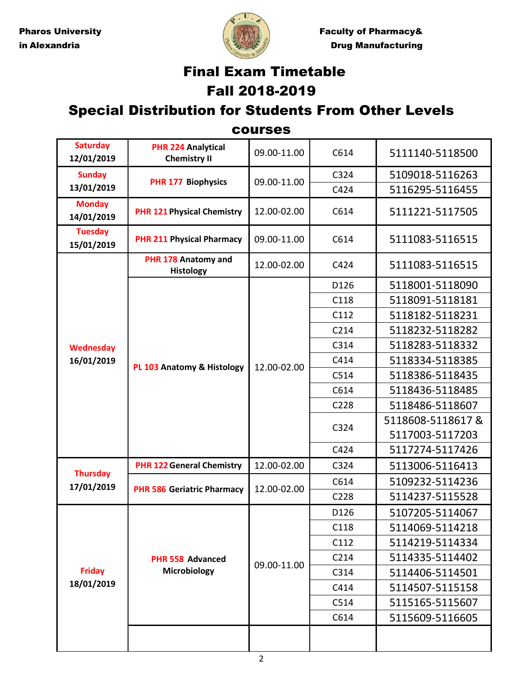

Pharos University **Faculty Faculty of Pharmacy&** in Alexandria **Drug Manufacturing** 

# Final Exam Timetable Fall 2018-2019

#### Special Distribution for Students From Other Levels

courses

| <b>Saturday</b><br>12/01/2019 | <b>PHR 224 Analytical</b><br><b>Chemistry II</b> | 09.00-11.00 | C614 | 5111140-5118500  |
|-------------------------------|--------------------------------------------------|-------------|------|------------------|
| <b>Sunday</b>                 | <b>PHR 177 Biophysics</b>                        | 09.00-11.00 | C324 | 5109018-5116263  |
| 13/01/2019                    |                                                  |             | C424 | 5116295-5116455  |
| <b>Monday</b><br>14/01/2019   | <b>PHR 121 Physical Chemistry</b>                | 12.00-02.00 | C614 | 5111221-5117505  |
| <b>Tuesday</b><br>15/01/2019  | <b>PHR 211 Physical Pharmacy</b>                 | 09.00-11.00 | C614 | 5111083-5116515  |
|                               | PHR 178 Anatomy and<br><b>Histology</b>          | 12.00-02.00 | C424 | 5111083-5116515  |
|                               |                                                  |             | D126 | 5118001-5118090  |
|                               |                                                  |             | C118 | 5118091-5118181  |
|                               |                                                  |             | C112 | 5118182-5118231  |
|                               |                                                  |             | C214 | 5118232-5118282  |
| <b>Wednesday</b>              |                                                  |             | C314 | 5118283-5118332  |
| 16/01/2019                    | PL 103 Anatomy & Histology                       | 12.00-02.00 | C414 | 5118334-5118385  |
|                               |                                                  |             | C514 | 5118386-5118435  |
|                               |                                                  |             | C614 | 5118436-5118485  |
|                               |                                                  |             | C228 | 5118486-5118607  |
|                               |                                                  |             | C324 | 5118608-5118617& |
|                               |                                                  |             |      | 5117003-5117203  |
|                               |                                                  |             | C424 | 5117274-5117426  |
|                               | <b>PHR 122 General Chemistry</b>                 | 12.00-02.00 | C324 | 5113006-5116413  |
| <b>Thursday</b><br>17/01/2019 | <b>PHR 586 Geriatric Pharmacy</b>                | 12.00-02.00 | C614 | 5109232-5114236  |
|                               |                                                  |             | C228 | 5114237-5115528  |
|                               | PHR 558 Advanced<br>Microbiology                 | 09.00-11.00 | D126 | 5107205-5114067  |
|                               |                                                  |             | C118 | 5114069-5114218  |
|                               |                                                  |             | C112 | 5114219-5114334  |
| <b>Friday</b><br>18/01/2019   |                                                  |             | C214 | 5114335-5114402  |
|                               |                                                  |             | C314 | 5114406-5114501  |
|                               |                                                  |             | C414 | 5114507-5115158  |
|                               |                                                  |             | C514 | 5115165-5115607  |
|                               |                                                  |             | C614 | 5115609-5116605  |
|                               |                                                  |             |      |                  |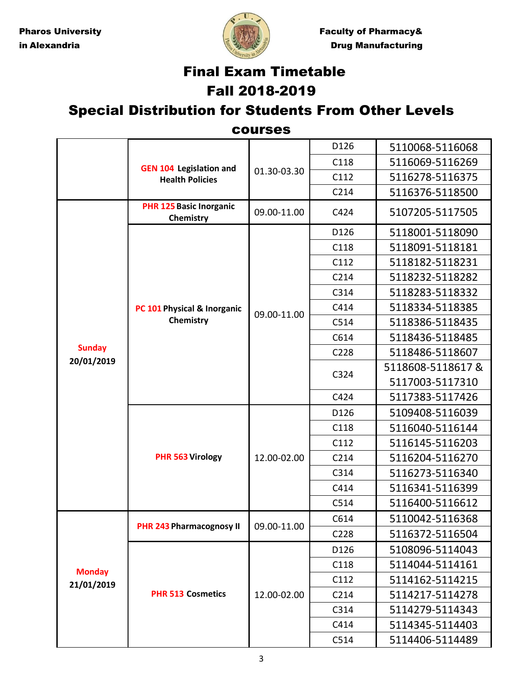

Pharos University **Faculty Faculty of Pharmacy&** in Alexandria **Drug Manufacturing** 

## Final Exam Timetable Fall 2018-2019

#### Special Distribution for Students From Other Levels

#### courses

|                             | <b>GEN 104 Legislation and</b><br><b>Health Policies</b> | 01.30-03.30 | D126 | 5110068-5116068  |
|-----------------------------|----------------------------------------------------------|-------------|------|------------------|
|                             |                                                          |             | C118 | 5116069-5116269  |
|                             |                                                          |             | C112 | 5116278-5116375  |
|                             |                                                          |             | C214 | 5116376-5118500  |
|                             | <b>PHR 125 Basic Inorganic</b><br>Chemistry              | 09.00-11.00 | C424 | 5107205-5117505  |
|                             | PC 101 Physical & Inorganic                              | 09.00-11.00 | D126 | 5118001-5118090  |
|                             |                                                          |             | C118 | 5118091-5118181  |
|                             |                                                          |             | C112 | 5118182-5118231  |
|                             |                                                          |             | C214 | 5118232-5118282  |
|                             |                                                          |             | C314 | 5118283-5118332  |
|                             |                                                          |             | C414 | 5118334-5118385  |
|                             | Chemistry                                                |             | C514 | 5118386-5118435  |
|                             |                                                          |             | C614 | 5118436-5118485  |
| <b>Sunday</b><br>20/01/2019 |                                                          |             | C228 | 5118486-5118607  |
|                             |                                                          |             | C324 | 5118608-5118617& |
|                             |                                                          |             |      | 5117003-5117310  |
|                             |                                                          |             | C424 | 5117383-5117426  |
|                             | PHR 563 Virology                                         | 12.00-02.00 | D126 | 5109408-5116039  |
|                             |                                                          |             | C118 | 5116040-5116144  |
|                             |                                                          |             | C112 | 5116145-5116203  |
|                             |                                                          |             | C214 | 5116204-5116270  |
|                             |                                                          |             | C314 | 5116273-5116340  |
|                             |                                                          |             | C414 | 5116341-5116399  |
|                             |                                                          |             | C514 | 5116400-5116612  |
|                             | <b>PHR 243 Pharmacognosy II</b>                          | 09.00-11.00 | C614 | 5110042-5116368  |
| <b>Monday</b><br>21/01/2019 |                                                          |             | C228 | 5116372-5116504  |
|                             | <b>PHR 513 Cosmetics</b>                                 | 12.00-02.00 | D126 | 5108096-5114043  |
|                             |                                                          |             | C118 | 5114044-5114161  |
|                             |                                                          |             | C112 | 5114162-5114215  |
|                             |                                                          |             | C214 | 5114217-5114278  |
|                             |                                                          |             | C314 | 5114279-5114343  |
|                             |                                                          |             | C414 | 5114345-5114403  |
|                             |                                                          |             | C514 | 5114406-5114489  |